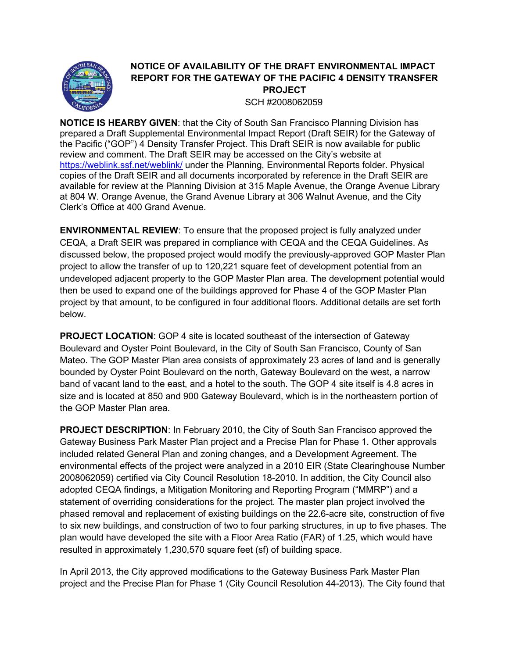

## NOTICE OF AVAILABILITY OF THE DRAFT ENVIRONMENTAL IMPACT REPORT FOR THE GATEWAY OF THE PACIFIC 4 DENSITY TRANSFER PROJECT SCH #2008062059

NOTICE IS HEARBY GIVEN: that the City of South San Francisco Planning Division has prepared a Draft Supplemental Environmental Impact Report (Draft SEIR) for the Gateway of the Pacific ("GOP") 4 Density Transfer Project. This Draft SEIR is now available for public review and comment. The Draft SEIR may be accessed on the City's website at https://weblink.ssf.net/weblink/ under the Planning, Environmental Reports folder. Physical copies of the Draft SEIR and all documents incorporated by reference in the Draft SEIR are available for review at the Planning Division at 315 Maple Avenue, the Orange Avenue Library at 804 W. Orange Avenue, the Grand Avenue Library at 306 Walnut Avenue, and the City Clerk's Office at 400 Grand Avenue.

ENVIRONMENTAL REVIEW: To ensure that the proposed project is fully analyzed under CEQA, a Draft SEIR was prepared in compliance with CEQA and the CEQA Guidelines. As discussed below, the proposed project would modify the previously-approved GOP Master Plan project to allow the transfer of up to 120,221 square feet of development potential from an undeveloped adjacent property to the GOP Master Plan area. The development potential would then be used to expand one of the buildings approved for Phase 4 of the GOP Master Plan project by that amount, to be configured in four additional floors. Additional details are set forth below.

PROJECT LOCATION: GOP 4 site is located southeast of the intersection of Gateway Boulevard and Oyster Point Boulevard, in the City of South San Francisco, County of San Mateo. The GOP Master Plan area consists of approximately 23 acres of land and is generally bounded by Oyster Point Boulevard on the north, Gateway Boulevard on the west, a narrow band of vacant land to the east, and a hotel to the south. The GOP 4 site itself is 4.8 acres in size and is located at 850 and 900 Gateway Boulevard, which is in the northeastern portion of the GOP Master Plan area.

PROJECT DESCRIPTION: In February 2010, the City of South San Francisco approved the Gateway Business Park Master Plan project and a Precise Plan for Phase 1. Other approvals included related General Plan and zoning changes, and a Development Agreement. The environmental effects of the project were analyzed in a 2010 EIR (State Clearinghouse Number 2008062059) certified via City Council Resolution 18-2010. In addition, the City Council also adopted CEQA findings, a Mitigation Monitoring and Reporting Program ("MMRP") and a statement of overriding considerations for the project. The master plan project involved the phased removal and replacement of existing buildings on the 22.6-acre site, construction of five to six new buildings, and construction of two to four parking structures, in up to five phases. The plan would have developed the site with a Floor Area Ratio (FAR) of 1.25, which would have resulted in approximately 1,230,570 square feet (sf) of building space.

In April 2013, the City approved modifications to the Gateway Business Park Master Plan project and the Precise Plan for Phase 1 (City Council Resolution 44-2013). The City found that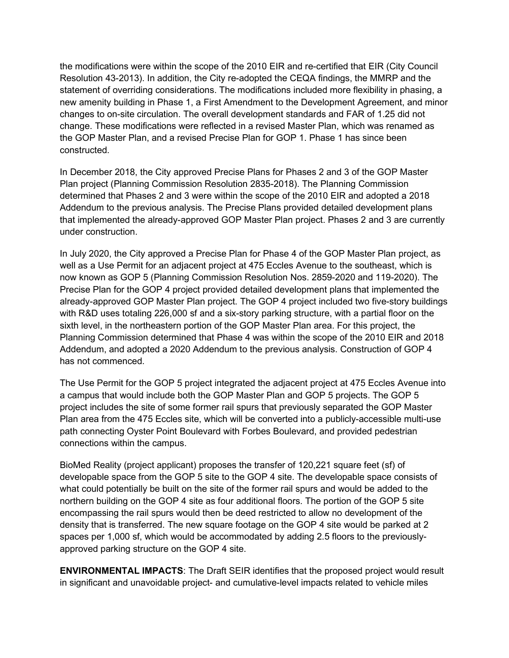the modifications were within the scope of the 2010 EIR and re-certified that EIR (City Council Resolution 43-2013). In addition, the City re-adopted the CEQA findings, the MMRP and the statement of overriding considerations. The modifications included more flexibility in phasing, a new amenity building in Phase 1, a First Amendment to the Development Agreement, and minor changes to on-site circulation. The overall development standards and FAR of 1.25 did not change. These modifications were reflected in a revised Master Plan, which was renamed as the GOP Master Plan, and a revised Precise Plan for GOP 1. Phase 1 has since been constructed.

In December 2018, the City approved Precise Plans for Phases 2 and 3 of the GOP Master Plan project (Planning Commission Resolution 2835-2018). The Planning Commission determined that Phases 2 and 3 were within the scope of the 2010 EIR and adopted a 2018 Addendum to the previous analysis. The Precise Plans provided detailed development plans that implemented the already-approved GOP Master Plan project. Phases 2 and 3 are currently under construction.

In July 2020, the City approved a Precise Plan for Phase 4 of the GOP Master Plan project, as well as a Use Permit for an adjacent project at 475 Eccles Avenue to the southeast, which is now known as GOP 5 (Planning Commission Resolution Nos. 2859-2020 and 119-2020). The Precise Plan for the GOP 4 project provided detailed development plans that implemented the already-approved GOP Master Plan project. The GOP 4 project included two five-story buildings with R&D uses totaling 226,000 sf and a six-story parking structure, with a partial floor on the sixth level, in the northeastern portion of the GOP Master Plan area. For this project, the Planning Commission determined that Phase 4 was within the scope of the 2010 EIR and 2018 Addendum, and adopted a 2020 Addendum to the previous analysis. Construction of GOP 4 has not commenced.

The Use Permit for the GOP 5 project integrated the adjacent project at 475 Eccles Avenue into a campus that would include both the GOP Master Plan and GOP 5 projects. The GOP 5 project includes the site of some former rail spurs that previously separated the GOP Master Plan area from the 475 Eccles site, which will be converted into a publicly-accessible multi-use path connecting Oyster Point Boulevard with Forbes Boulevard, and provided pedestrian connections within the campus.

BioMed Reality (project applicant) proposes the transfer of 120,221 square feet (sf) of developable space from the GOP 5 site to the GOP 4 site. The developable space consists of what could potentially be built on the site of the former rail spurs and would be added to the northern building on the GOP 4 site as four additional floors. The portion of the GOP 5 site encompassing the rail spurs would then be deed restricted to allow no development of the density that is transferred. The new square footage on the GOP 4 site would be parked at 2 spaces per 1,000 sf, which would be accommodated by adding 2.5 floors to the previouslyapproved parking structure on the GOP 4 site.

ENVIRONMENTAL IMPACTS: The Draft SEIR identifies that the proposed project would result in significant and unavoidable project- and cumulative-level impacts related to vehicle miles